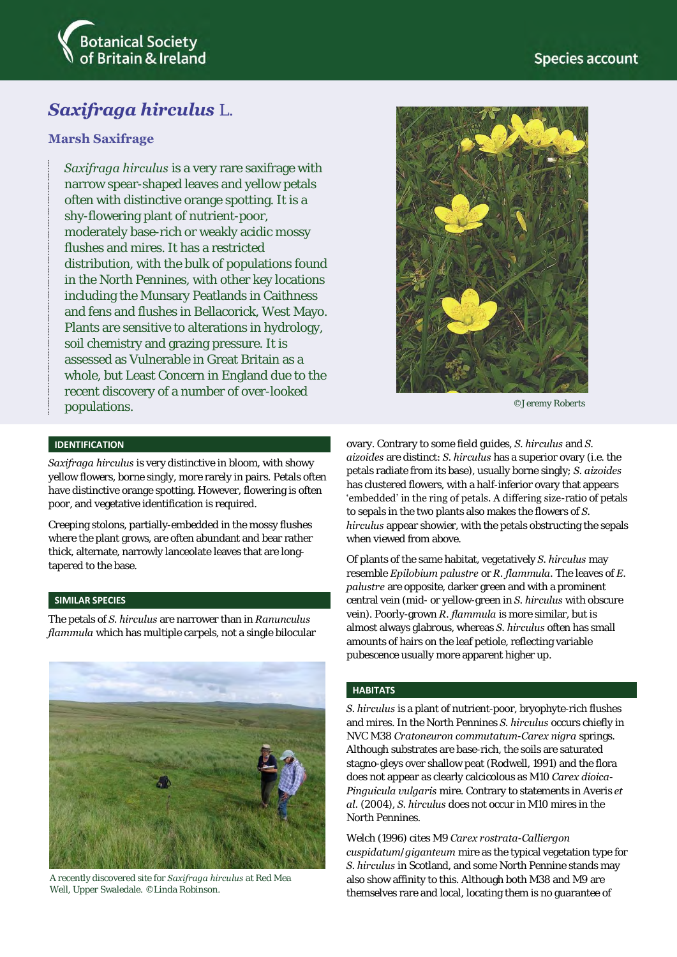

# **Marsh Saxifrage**

*Saxifraga hirculus* is a very rare saxifrage with narrow spear-shaped leaves and yellow petals often with distinctive orange spotting. It is a shy-flowering plant of nutrient-poor, moderately base-rich or weakly acidic mossy flushes and mires. It has a restricted distribution, with the bulk of populations found in the North Pennines, with other key locations including the Munsary Peatlands in Caithness and fens and flushes in Bellacorick, West Mayo. Plants are sensitive to alterations in hydrology, soil chemistry and grazing pressure. It is assessed as Vulnerable in Great Britain as a whole, but Least Concern in England due to the recent discovery of a number of over-looked populations.

#### **IDENTIFICATION**

*Saxifraga hirculus* is very distinctive in bloom, with showy yellow flowers, borne singly, more rarely in pairs. Petals often have distinctive orange spotting. However, flowering is often poor, and vegetative identification is required.

Creeping stolons, partially-embedded in the mossy flushes where the plant grows, are often abundant and bear rather thick, alternate, narrowly lanceolate leaves that are longtapered to the base.

### **SIMILAR SPECIES**

The petals of *S. hirculus* are narrower than in *Ranunculus flammula* which has multiple carpels, not a single bilocular



A recently discovered site for *Saxifraga hirculus* at Red Mea Well, Upper Swaledale. ©Linda Robinson.



©Jeremy Roberts

ovary. Contrary to some field guides, *S. hirculus* and *S. aizoides* are distinct: *S. hirculus* has a superior ovary (i.e. the petals radiate from its base), usually borne singly; *S. aizoides*  has clustered flowers, with a half-inferior ovary that appears 'embedded' in the ring of petals. A differing size-ratio of petals to sepals in the two plants also makes the flowers of *S. hirculus* appear showier, with the petals obstructing the sepals when viewed from above.

Of plants of the same habitat, vegetatively *S. hirculus* may resemble *Epilobium palustre* or *R. flammula.* The leaves of *E. palustre* are opposite, darker green and with a prominent central vein (mid- or yellow-green in *S. hirculus* with obscure vein). Poorly-grown *R. flammula* is more similar, but is almost always glabrous, whereas *S. hirculus* often has small amounts of hairs on the leaf petiole, reflecting variable pubescence usually more apparent higher up.

#### **HABITATS**

*S. hirculus* is a plant of nutrient-poor, bryophyte-rich flushes and mires. In the North Pennines *S. hirculus* occurs chiefly in NVC M38 *Cratoneuron commutatum*-*Carex nigra* springs. Although substrates are base-rich, the soils are saturated stagno-gleys over shallow peat (Rodwell, 1991) and the flora does not appear as clearly calcicolous as M10 *Carex dioica*-*Pinguicula vulgaris* mire. Contrary to statements in Averis *et al.* (2004), *S. hirculus* does not occur in M10 mires in the North Pennines.

Welch (1996) cites M9 *Carex rostrata*-*Calliergon cuspidatum*/*giganteum* mire as the typical vegetation type for *S. hirculus* in Scotland, and some North Pennine stands may also show affinity to this. Although both M38 and M9 are themselves rare and local, locating them is no guarantee of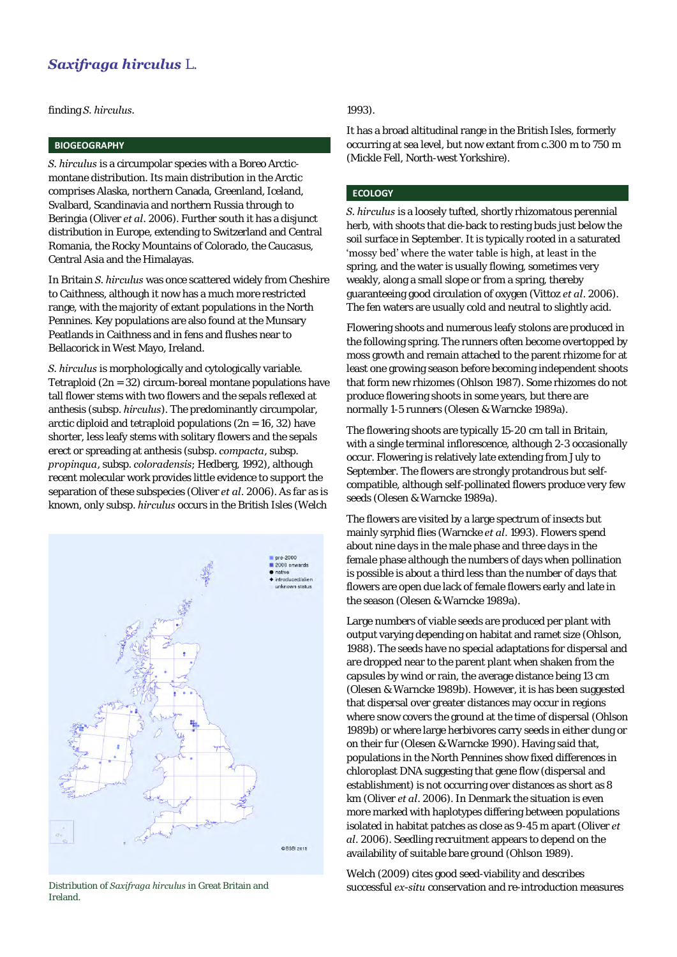finding *S. hirculus.*

### **BIOGEOGRAPHY**

*S. hirculus* is a circumpolar species with a Boreo Arcticmontane distribution. Its main distribution in the Arctic comprises Alaska, northern Canada, Greenland, Iceland, Svalbard, Scandinavia and northern Russia through to Beringia (Oliver *et al*. 2006). Further south it has a disjunct distribution in Europe, extending to Switzerland and Central Romania, the Rocky Mountains of Colorado, the Caucasus, Central Asia and the Himalayas.

In Britain *S. hirculus* was once scattered widely from Cheshire to Caithness, although it now has a much more restricted range, with the majority of extant populations in the North Pennines. Key populations are also found at the Munsary Peatlands in Caithness and in fens and flushes near to Bellacorick in West Mayo, Ireland.

*S. hirculus* is morphologically and cytologically variable. Tetraploid (2n = 32) circum-boreal montane populations have tall flower stems with two flowers and the sepals reflexed at anthesis (subsp. *hirculus*). The predominantly circumpolar, arctic diploid and tetraploid populations  $(2n = 16, 32)$  have shorter, less leafy stems with solitary flowers and the sepals erect or spreading at anthesis (subsp. *compacta*, subsp. *propinqua*, subsp. *coloradensis*; Hedberg, 1992), although recent molecular work provides little evidence to support the separation of these subspecies (Oliver *et al*. 2006). As far as is known, only subsp. *hirculus* occurs in the British Isles (Welch



Ireland.

# 1993).

It has a broad altitudinal range in the British Isles, formerly occurring at sea level, but now extant from c.300 m to 750 m (Mickle Fell, North-west Yorkshire).

### **ECOLOGY**

*S. hirculus* is a loosely tufted, shortly rhizomatous perennial herb, with shoots that die-back to resting buds just below the soil surface in September. It is typically rooted in a saturated 'mossy bed' where the water table is high, at least in the spring, and the water is usually flowing, sometimes very weakly, along a small slope or from a spring, thereby guaranteeing good circulation of oxygen (Vittoz *et al*. 2006). The fen waters are usually cold and neutral to slightly acid.

Flowering shoots and numerous leafy stolons are produced in the following spring. The runners often become overtopped by moss growth and remain attached to the parent rhizome for at least one growing season before becoming independent shoots that form new rhizomes (Ohlson 1987). Some rhizomes do not produce flowering shoots in some years, but there are normally 1-5 runners (Olesen & Warncke 1989a).

The flowering shoots are typically 15-20 cm tall in Britain, with a single terminal inflorescence, although 2-3 occasionally occur. Flowering is relatively late extending from July to September. The flowers are strongly protandrous but selfcompatible, although self-pollinated flowers produce very few seeds (Olesen & Warncke 1989a).

The flowers are visited by a large spectrum of insects but mainly syrphid flies (Warncke *et al*. 1993). Flowers spend about nine days in the male phase and three days in the female phase although the numbers of days when pollination is possible is about a third less than the number of days that flowers are open due lack of female flowers early and late in the season (Olesen & Warncke 1989a).

Large numbers of viable seeds are produced per plant with output varying depending on habitat and ramet size (Ohlson, 1988). The seeds have no special adaptations for dispersal and are dropped near to the parent plant when shaken from the capsules by wind or rain, the average distance being 13 cm (Olesen & Warncke 1989b). However, it is has been suggested that dispersal over greater distances may occur in regions where snow covers the ground at the time of dispersal (Ohlson 1989b) or where large herbivores carry seeds in either dung or on their fur (Olesen & Warncke 1990). Having said that, populations in the North Pennines show fixed differences in chloroplast DNA suggesting that gene flow (dispersal and establishment) is not occurring over distances as short as 8 km (Oliver *et al*. 2006). In Denmark the situation is even more marked with haplotypes differing between populations isolated in habitat patches as close as 9-45 m apart (Oliver *et al*. 2006). Seedling recruitment appears to depend on the availability of suitable bare ground (Ohlson 1989).

Welch (2009) cites good seed-viability and describes Distribution of *Saxifraga hirculus* in Great Britain and **Successful** *ex-situ* conservation and re-introduction measures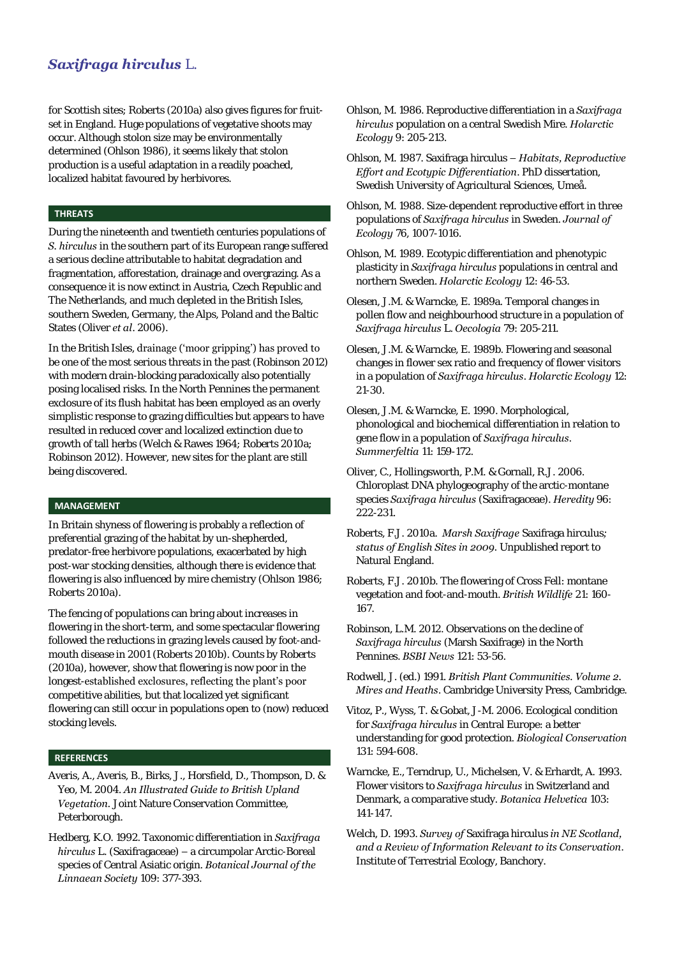for Scottish sites; Roberts (2010a) also gives figures for fruitset in England. Huge populations of vegetative shoots may occur. Although stolon size may be environmentally determined (Ohlson 1986), it seems likely that stolon production is a useful adaptation in a readily poached, localized habitat favoured by herbivores.

### **THREATS**

During the nineteenth and twentieth centuries populations of *S. hirculus* in the southern part of its European range suffered a serious decline attributable to habitat degradation and fragmentation, afforestation, drainage and overgrazing. As a consequence it is now extinct in Austria, Czech Republic and The Netherlands, and much depleted in the British Isles, southern Sweden, Germany, the Alps, Poland and the Baltic States (Oliver *et al*. 2006).

In the British Isles, drainage ('moor gripping') has proved to be one of the most serious threats in the past (Robinson 2012) with modern drain-blocking paradoxically also potentially posing localised risks. In the North Pennines the permanent exclosure of its flush habitat has been employed as an overly simplistic response to grazing difficulties but appears to have resulted in reduced cover and localized extinction due to growth of tall herbs (Welch & Rawes 1964; Roberts 2010a; Robinson 2012). However, new sites for the plant are still being discovered.

### **MANAGEMENT**

In Britain shyness of flowering is probably a reflection of preferential grazing of the habitat by un-shepherded, predator-free herbivore populations, exacerbated by high post-war stocking densities, although there is evidence that flowering is also influenced by mire chemistry (Ohlson 1986; Roberts 2010a).

The fencing of populations can bring about increases in flowering in the short-term, and some spectacular flowering followed the reductions in grazing levels caused by foot-andmouth disease in 2001 (Roberts 2010b). Counts by Roberts (2010a), however, show that flowering is now poor in the longest-established exclosures, reflecting the plant's poor competitive abilities, but that localized yet significant flowering can still occur in populations open to (now) reduced stocking levels.

## **REFERENCES**

- Averis, A., Averis, B., Birks, J., Horsfield, D., Thompson, D. & Yeo, M. 2004. *An Illustrated Guide to British Upland Vegetation.* Joint Nature Conservation Committee, Peterborough.
- Hedberg, K.O. 1992. Taxonomic differentiation in *Saxifraga hirculus* L. (Saxifragaceae) – a circumpolar Arctic-Boreal species of Central Asiatic origin. *Botanical Journal of the Linnaean Society* 109: 377-393.
- Ohlson, M. 1986. Reproductive differentiation in a *Saxifraga hirculus* population on a central Swedish Mire. *Holarctic Ecology* 9: 205-213.
- Ohlson, M. 1987. Saxifraga hirculus *– Habitats, Reproductive Effort and Ecotypic Differentiation*. PhD dissertation, Swedish University of Agricultural Sciences, Umeå.
- Ohlson, M. 1988. Size-dependent reproductive effort in three populations of *Saxifraga hirculus* in Sweden. *Journal of Ecology* 76, 1007-1016.
- Ohlson, M. 1989. Ecotypic differentiation and phenotypic plasticity in *Saxifraga hirculus* populations in central and northern Sweden. *Holarctic Ecology* 12: 46-53.
- Olesen, J.M. & Warncke, E. 1989a. Temporal changes in pollen flow and neighbourhood structure in a population of *Saxifraga hirculus* L. *Oecologia* 79: 205-211.
- Olesen, J.M. & Warncke, E. 1989b. Flowering and seasonal changes in flower sex ratio and frequency of flower visitors in a population of *Saxifraga hirculus*. *Holarctic Ecology* 12: 21-30.
- Olesen, J.M. & Warncke, E. 1990. Morphological, phonological and biochemical differentiation in relation to gene flow in a population of *Saxifraga hirculus*. *Summerfeltia* 11: 159-172.
- Oliver, C., Hollingsworth, P.M. & Gornall, R.J. 2006. Chloroplast DNA phylogeography of the arctic-montane species *Saxifraga hirculus* (Saxifragaceae). *Heredity* 96: 222-231.
- Roberts, F.J. 2010a. *Marsh Saxifrage* Saxifraga hirculus*; status of English Sites in 2009.* Unpublished report to Natural England.
- Roberts, F.J. 2010b. The flowering of Cross Fell: montane vegetation and foot-and-mouth. *British Wildlife* 21: 160- 167.
- Robinson, L.M. 2012. Observations on the decline of *Saxifraga hirculus* (Marsh Saxifrage) in the North Pennines. *BSBI News* 121: 53-56.
- Rodwell, J. (ed.) 1991. *British Plant Communities. Volume 2. Mires and Heaths*. Cambridge University Press, Cambridge.
- Vitoz, P., Wyss, T. & Gobat, J-M. 2006. Ecological condition for *Saxifraga hirculus* in Central Europe: a better understanding for good protection. *Biological Conservation* 131: 594-608.
- Warncke, E., Terndrup, U., Michelsen, V. & Erhardt, A. 1993. Flower visitors to *Saxifraga hirculus* in Switzerland and Denmark, a comparative study. *Botanica Helvetica* 103: 141-147.
- Welch, D. 1993. *Survey of* Saxifraga hirculus *in NE Scotland, and a Review of Information Relevant to its Conservation*. Institute of Terrestrial Ecology, Banchory.